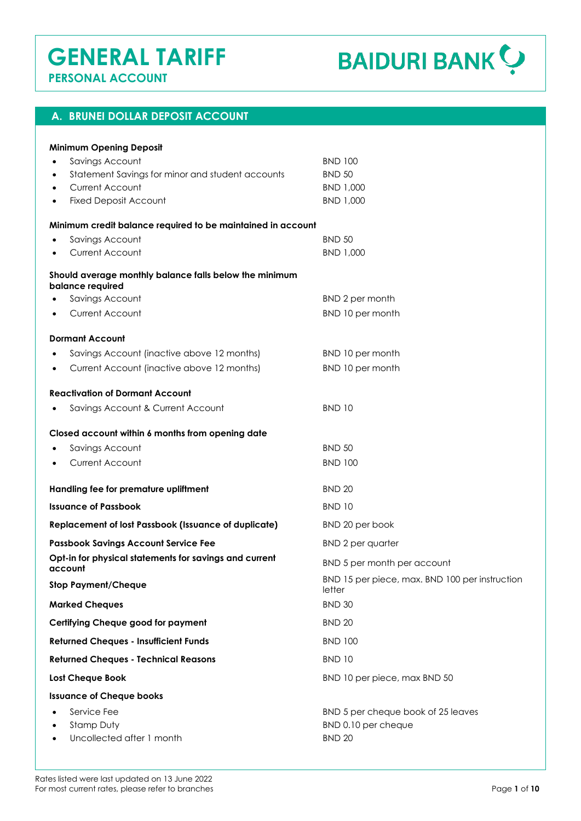# **GENERAL TARIFF PERSONAL ACCOUNT**

**BAIDURI BANK ?** 

### **A. BRUNEI DOLLAR DEPOSIT ACCOUNT**

| <b>Minimum Opening Deposit</b>                                             |                                                          |
|----------------------------------------------------------------------------|----------------------------------------------------------|
| Savings Account<br>$\bullet$                                               | <b>BND 100</b>                                           |
| Statement Savings for minor and student accounts<br>٠                      | <b>BND 50</b>                                            |
| Current Account<br>٠                                                       | BND 1,000                                                |
| <b>Fixed Deposit Account</b>                                               | BND 1,000                                                |
| Minimum credit balance required to be maintained in account                |                                                          |
| Savings Account                                                            | <b>BND 50</b>                                            |
| Current Account                                                            | BND 1,000                                                |
| Should average monthly balance falls below the minimum<br>balance required |                                                          |
| Savings Account                                                            | BND 2 per month                                          |
| <b>Current Account</b>                                                     | BND 10 per month                                         |
| <b>Dormant Account</b>                                                     |                                                          |
| Savings Account (inactive above 12 months)                                 | BND 10 per month                                         |
| Current Account (inactive above 12 months)<br>$\bullet$                    | BND 10 per month                                         |
| <b>Reactivation of Dormant Account</b>                                     |                                                          |
| Savings Account & Current Account                                          | <b>BND 10</b>                                            |
| Closed account within 6 months from opening date                           |                                                          |
| Savings Account                                                            | <b>BND 50</b>                                            |
| <b>Current Account</b>                                                     | <b>BND 100</b>                                           |
| Handling fee for premature upliftment                                      | <b>BND 20</b>                                            |
| <b>Issuance of Passbook</b>                                                | <b>BND 10</b>                                            |
| <b>Replacement of lost Passbook (Issuance of duplicate)</b>                | BND 20 per book                                          |
| <b>Passbook Savings Account Service Fee</b>                                | <b>BND 2 per quarter</b>                                 |
| Opt-in for physical statements for savings and current<br>account          | BND 5 per month per account                              |
| <b>Stop Payment/Cheque</b>                                                 | BND 15 per piece, max. BND 100 per instruction<br>letter |
| <b>Marked Cheques</b>                                                      | <b>BND 30</b>                                            |
| <b>Certifying Cheque good for payment</b>                                  | <b>BND 20</b>                                            |
| <b>Returned Cheques - Insufficient Funds</b>                               | <b>BND 100</b>                                           |
| <b>Returned Cheques - Technical Reasons</b>                                | <b>BND 10</b>                                            |
| <b>Lost Cheque Book</b>                                                    | BND 10 per piece, max BND 50                             |
| <b>Issuance of Cheque books</b>                                            |                                                          |
| Service Fee                                                                | BND 5 per cheque book of 25 leaves                       |
| Stamp Duty                                                                 | BND 0.10 per cheque                                      |
| Uncollected after 1 month                                                  | <b>BND 20</b>                                            |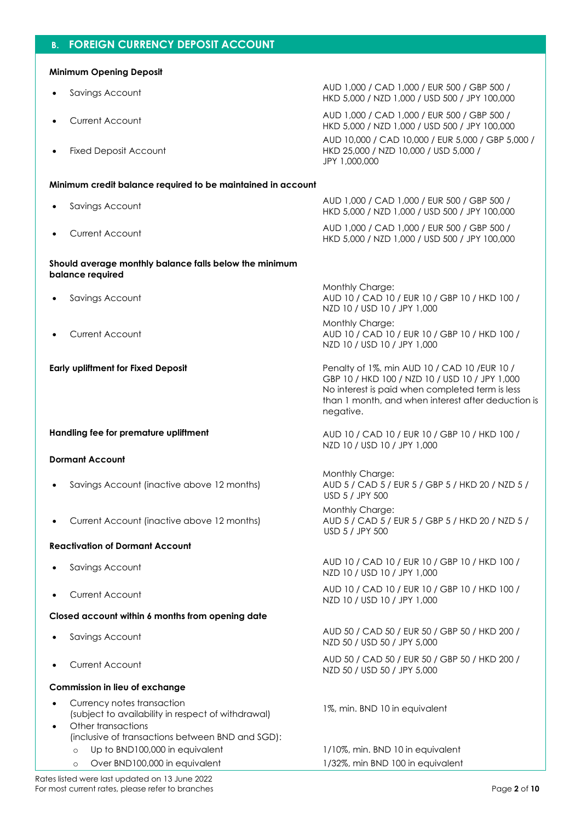### **B. FOREIGN CURRENCY DEPOSIT ACCOUNT**

### **Minimum Opening Deposit**

- 
- 
- **Fixed Deposit Account**

• Savings Account AUD 1,000 / CAD 1,000 / EUR 500 / GBP 500 / HKD 5,000 / NZD 1,000 / USD 500 / JPY 100,000

HKD 5,000 / NZD 1,000 / USD 500 / JPY 100,000

HKD 5,000 / NZD 1,000 / USD 500 / JPY 100,000

Monthly Charge:

• Current Account AUD 1,000 / CAD 1,000 / EUR 500 / GBP 500 / HKD 5,000 / NZD 1,000 / USD 500 / JPY 100,000 AUD 10,000 / CAD 10,000 / EUR 5,000 / GBP 5,000 / HKD 25,000 / NZD 10,000 / USD 5,000 / JPY 1,000,000

### **Minimum credit balance required to be maintained in account**

- Savings Account AUD 1,000 / CAD 1,000 / EUR 500 / GBP 500 /
- Current Account AUD 1,000 / CAD 1,000 / EUR 500 / GBP 500 /

### **Should average monthly balance falls below the minimum balance required**

- Savings Account
- Current Account

**Handling fee for premature upliftment**  $AUD 10 / CAD 10 / EUR 10 / GBP 10 / HKD 100 /$ 

#### **Dormant Account**

- Savings Account (inactive above 12 months)
- Current Account (inactive above 12 months)

#### **Reactivation of Dormant Account**

- 
- 

#### **Closed account within 6 months from opening date**

- 
- 

#### **Commission in lieu of exchange**

- Currency notes transaction (subject to availability in respect of withdrawal) 1%, min. BND 10 in equivalent
- Other transactions (inclusive of transactions between BND and SGD):
	-
	-

NZD 10 / USD 10 / JPY 1,000 Monthly Charge: AUD 10 / CAD 10 / EUR 10 / GBP 10 / HKD 100 /

NZD 10 / USD 10 / JPY 1,000

AUD 10 / CAD 10 / EUR 10 / GBP 10 / HKD 100 /

**Early upliftment for Fixed Deposit <b>Penalty of 1%, min AUD 10 / CAD 10 / EUR 10 /** CAD 10 / EUR 10 / GBP 10 / HKD 100 / NZD 10 / USD 10 / JPY 1,000 No interest is paid when completed term is less than 1 month, and when interest after deduction is negative.

NZD 10 / USD 10 / JPY 1,000

Monthly Charge: AUD 5 / CAD 5 / EUR 5 / GBP 5 / HKD 20 / NZD 5 / USD 5 / JPY 500

Monthly Charge: AUD 5 / CAD 5 / EUR 5 / GBP 5 / HKD 20 / NZD 5 / USD 5 / JPY 500

• Savings Account AUD 10 / CAD 10 / EUR 10 / GBP 10 / HKD 100 / NZD 10 / USD 10 / JPY 1,000

• Current Account AUD 10 / CAD 10 / EUR 10 / GBP 10 / HKD 100 / NZD 10 / USD 10 / JPY 1,000

• Savings Account AUD 50 / CAD 50 / EUR 50 / GBP 50 / HKD 200 / NZD 50 / USD 50 / JPY 5,000

• Current Account AUD 50 / CAD 50 / EUR 50 / GBP 50 / HKD 200 / NZD 50 / USD 50 / JPY 5,000

Up to BND100,000 in equivalent 1/10%, min. BND 10 in equivalent o Over BND100,000 in equivalent 1/32%, min BND 100 in equivalent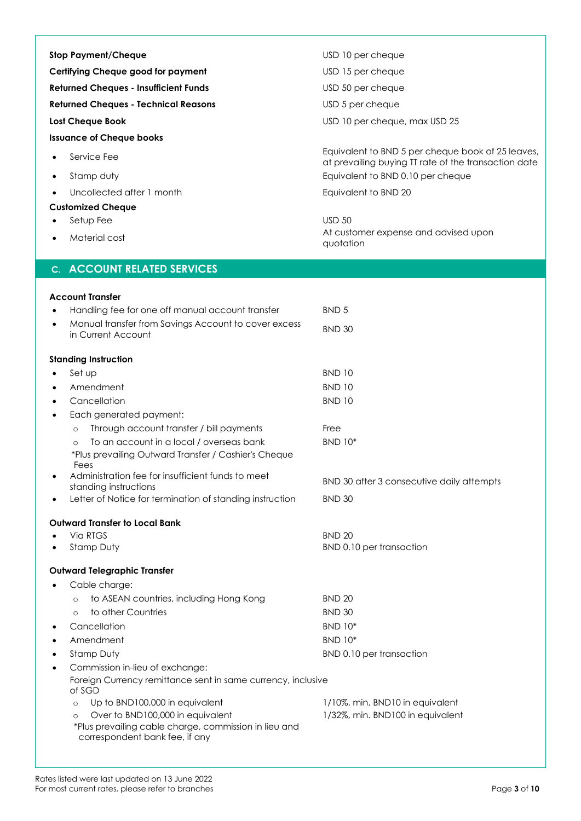| <b>Stop Payment/Cheque</b>                                                                                                                                                          | USD 10 per cheque                                                                                         |  |
|-------------------------------------------------------------------------------------------------------------------------------------------------------------------------------------|-----------------------------------------------------------------------------------------------------------|--|
| Certifying Cheque good for payment                                                                                                                                                  | USD 15 per cheque                                                                                         |  |
| <b>Returned Cheques - Insufficient Funds</b>                                                                                                                                        | USD 50 per cheque                                                                                         |  |
| <b>Returned Cheques - Technical Reasons</b>                                                                                                                                         | USD 5 per cheque                                                                                          |  |
| <b>Lost Cheque Book</b>                                                                                                                                                             | USD 10 per cheque, max USD 25                                                                             |  |
| <b>Issuance of Cheque books</b>                                                                                                                                                     |                                                                                                           |  |
| Service Fee                                                                                                                                                                         | Equivalent to BND 5 per cheque book of 25 leaves,<br>at prevailing buying TT rate of the transaction date |  |
| Stamp duty<br>$\bullet$                                                                                                                                                             | Equivalent to BND 0.10 per cheque                                                                         |  |
| Uncollected after 1 month                                                                                                                                                           | Equivalent to BND 20                                                                                      |  |
| <b>Customized Cheque</b>                                                                                                                                                            |                                                                                                           |  |
| Setup Fee                                                                                                                                                                           | <b>USD 50</b>                                                                                             |  |
| Material cost                                                                                                                                                                       | At customer expense and advised upon<br>quotation                                                         |  |
| <b>C. ACCOUNT RELATED SERVICES</b>                                                                                                                                                  |                                                                                                           |  |
| <b>Account Transfer</b>                                                                                                                                                             |                                                                                                           |  |
| Handling fee for one off manual account transfer                                                                                                                                    | BND <sub>5</sub>                                                                                          |  |
| Manual transfer from Savings Account to cover excess<br>$\bullet$                                                                                                                   | <b>BND 30</b>                                                                                             |  |
| in Current Account                                                                                                                                                                  |                                                                                                           |  |
| <b>Standing Instruction</b>                                                                                                                                                         |                                                                                                           |  |
| Set up                                                                                                                                                                              | <b>BND 10</b>                                                                                             |  |
| Amendment                                                                                                                                                                           | <b>BND 10</b>                                                                                             |  |
| Cancellation                                                                                                                                                                        | <b>BND 10</b>                                                                                             |  |
| Each generated payment:<br>٠                                                                                                                                                        |                                                                                                           |  |
| Through account transfer / bill payments<br>$\circ$                                                                                                                                 | Free                                                                                                      |  |
| To an account in a local / overseas bank<br>*Plus prevailing Outward Transfer / Cashier's Cheque<br>Fees                                                                            | <b>BND 10*</b>                                                                                            |  |
| Administration fee for insufficient funds to meet<br>standing instructions                                                                                                          | BND 30 after 3 consecutive daily attempts                                                                 |  |
| Letter of Notice for termination of standing instruction                                                                                                                            | <b>BND 30</b>                                                                                             |  |
| <b>Outward Transfer to Local Bank</b>                                                                                                                                               |                                                                                                           |  |
| Via RTGS                                                                                                                                                                            | <b>BND 20</b>                                                                                             |  |
| Stamp Duty                                                                                                                                                                          | BND 0.10 per transaction                                                                                  |  |
| <b>Outward Telegraphic Transfer</b>                                                                                                                                                 |                                                                                                           |  |
| Cable charge:                                                                                                                                                                       |                                                                                                           |  |
| to ASEAN countries, including Hong Kong<br>$\circ$                                                                                                                                  | <b>BND 20</b>                                                                                             |  |
| to other Countries<br>$\circ$                                                                                                                                                       | <b>BND 30</b>                                                                                             |  |
| Cancellation                                                                                                                                                                        | <b>BND 10*</b>                                                                                            |  |
| Amendment                                                                                                                                                                           | <b>BND 10*</b>                                                                                            |  |
| Stamp Duty                                                                                                                                                                          | BND 0.10 per transaction                                                                                  |  |
| Commission in-lieu of exchange:<br>٠<br>Foreign Currency remittance sent in same currency, inclusive<br>of SGD                                                                      |                                                                                                           |  |
| Up to BND100,000 in equivalent<br>$\circ$<br>Over to BND100,000 in equivalent<br>$\circ$<br>*Plus prevailing cable charge, commission in lieu and<br>correspondent bank fee, if any | 1/10%, min. BND10 in equivalent<br>1/32%, min. BND100 in equivalent                                       |  |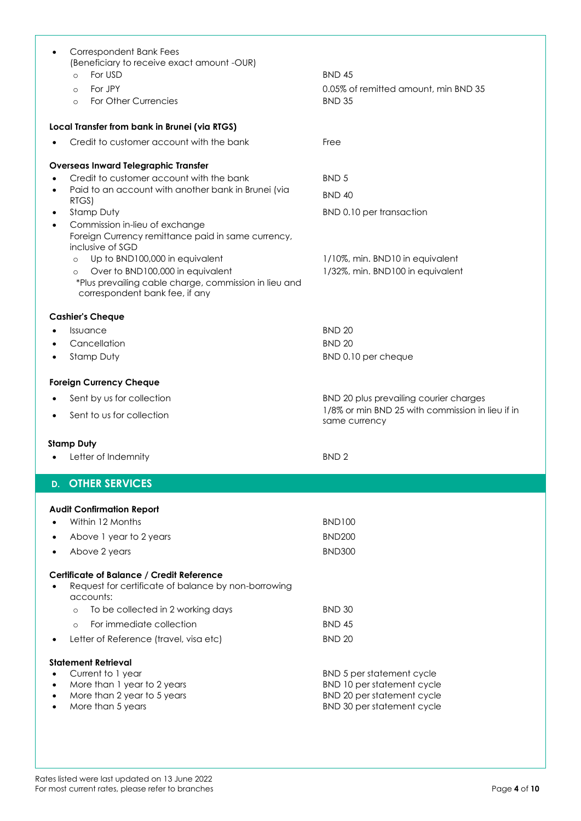| Correspondent Bank Fees                                                                 |                                                          |
|-----------------------------------------------------------------------------------------|----------------------------------------------------------|
| (Beneficiary to receive exact amount -OUR)                                              |                                                          |
| For USD<br>$\Omega$                                                                     | <b>BND 45</b>                                            |
| For JPY<br>$\circ$                                                                      | 0.05% of remitted amount, min BND 35                     |
| For Other Currencies<br>$\circ$                                                         | <b>BND 35</b>                                            |
| Local Transfer from bank in Brunei (via RTGS)                                           |                                                          |
| Credit to customer account with the bank                                                | Free                                                     |
| <b>Overseas Inward Telegraphic Transfer</b>                                             |                                                          |
| Credit to customer account with the bank                                                | BND <sub>5</sub>                                         |
| Paid to an account with another bank in Brunei (via<br>$\bullet$                        | <b>BND 40</b>                                            |
| RTGS)                                                                                   |                                                          |
| Stamp Duty<br>٠                                                                         | BND 0.10 per transaction                                 |
| Commission in-lieu of exchange<br>Foreign Currency remittance paid in same currency,    |                                                          |
| inclusive of SGD                                                                        |                                                          |
| Up to BND100,000 in equivalent<br>$\Omega$                                              | 1/10%, min. BND10 in equivalent                          |
| Over to BND100,000 in equivalent<br>$\circ$                                             | 1/32%, min. BND100 in equivalent                         |
| *Plus prevailing cable charge, commission in lieu and<br>correspondent bank fee, if any |                                                          |
|                                                                                         |                                                          |
| <b>Cashier's Cheque</b><br>Issuance                                                     | <b>BND 20</b>                                            |
| Cancellation                                                                            | <b>BND 20</b>                                            |
| Stamp Duty                                                                              | BND 0.10 per cheque                                      |
|                                                                                         |                                                          |
| <b>Foreign Currency Cheque</b>                                                          |                                                          |
|                                                                                         |                                                          |
| Sent by us for collection                                                               | BND 20 plus prevailing courier charges                   |
| Sent to us for collection                                                               | 1/8% or min BND 25 with commission in lieu if in         |
|                                                                                         | same currency                                            |
| <b>Stamp Duty</b>                                                                       |                                                          |
| Letter of Indemnity                                                                     | BND <sub>2</sub>                                         |
| <b>OTHER SERVICES</b><br>D.                                                             |                                                          |
|                                                                                         |                                                          |
| <b>Audit Confirmation Report</b>                                                        |                                                          |
| Within 12 Months                                                                        | <b>BND100</b>                                            |
| Above 1 year to 2 years                                                                 | <b>BND200</b>                                            |
| Above 2 years                                                                           | <b>BND300</b>                                            |
| Certificate of Balance / Credit Reference                                               |                                                          |
| Request for certificate of balance by non-borrowing                                     |                                                          |
| accounts:                                                                               |                                                          |
| To be collected in 2 working days<br>$\circ$                                            | <b>BND 30</b>                                            |
| For immediate collection<br>$\Omega$                                                    | <b>BND 45</b>                                            |
| Letter of Reference (travel, visa etc)                                                  | <b>BND 20</b>                                            |
| <b>Statement Retrieval</b>                                                              |                                                          |
| Current to 1 year                                                                       | BND 5 per statement cycle                                |
| More than 1 year to 2 years                                                             | BND 10 per statement cycle                               |
| More than 2 year to 5 years<br>More than 5 years                                        | BND 20 per statement cycle<br>BND 30 per statement cycle |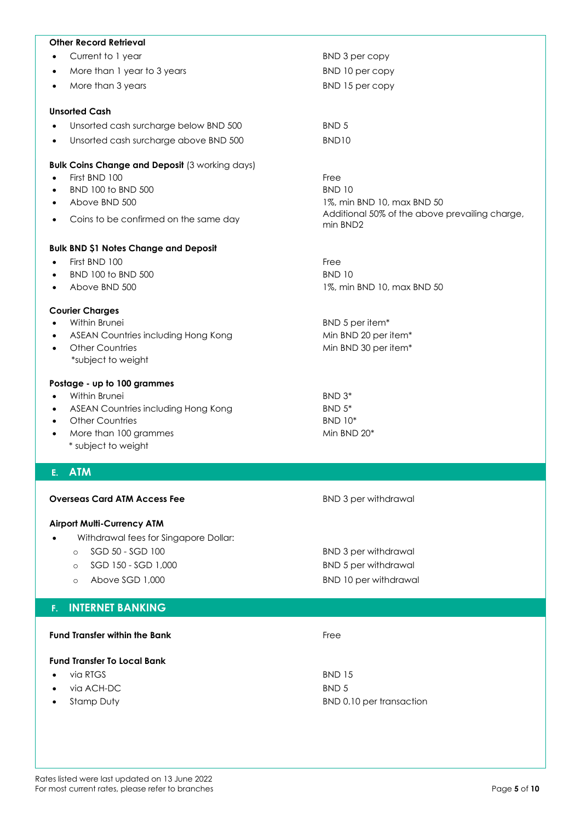| <b>Other Record Retrieval</b>                             |                                                                              |
|-----------------------------------------------------------|------------------------------------------------------------------------------|
| Current to 1 year                                         | BND 3 per copy                                                               |
| More than 1 year to 3 years<br>$\bullet$                  | BND 10 per copy                                                              |
| More than 3 years<br>$\bullet$                            | BND 15 per copy                                                              |
| <b>Unsorted Cash</b>                                      |                                                                              |
| Unsorted cash surcharge below BND 500                     | BND <sub>5</sub>                                                             |
| Unsorted cash surcharge above BND 500<br>$\bullet$        | BND <sub>10</sub>                                                            |
| <b>Bulk Coins Change and Deposit (3 working days)</b>     |                                                                              |
| First BND 100<br>$\bullet$                                | Free                                                                         |
| BND 100 to BND 500<br>٠                                   | <b>BND 10</b>                                                                |
| Above BND 500<br>$\bullet$                                | 1%, min BND 10, max BND 50<br>Additional 50% of the above prevailing charge, |
| Coins to be confirmed on the same day<br>$\bullet$        | min BND2                                                                     |
| <b>Bulk BND \$1 Notes Change and Deposit</b>              |                                                                              |
| First BND 100<br>$\bullet$                                | Free                                                                         |
| BND 100 to BND 500                                        | <b>BND 10</b>                                                                |
| Above BND 500                                             | 1%, min BND 10, max BND 50                                                   |
| <b>Courier Charges</b>                                    |                                                                              |
| Within Brunei                                             | BND 5 per item*                                                              |
| ASEAN Countries including Hong Kong                       | Min BND 20 per item*                                                         |
| <b>Other Countries</b><br>$\bullet$<br>*subject to weight | Min BND 30 per item*                                                         |
| Postage - up to 100 grammes                               |                                                                              |
| Within Brunei<br>$\bullet$                                | BND 3*                                                                       |
| ASEAN Countries including Hong Kong<br>$\bullet$          | BND 5*                                                                       |
| <b>Other Countries</b><br>$\bullet$                       | <b>BND 10*</b>                                                               |
| More than 100 grammes<br>$\bullet$<br>* subject to weight | Min BND 20*                                                                  |
| E. ATM                                                    |                                                                              |
| <b>Overseas Card ATM Access Fee</b>                       | <b>BND 3 per withdrawal</b>                                                  |
|                                                           |                                                                              |
| <b>Airport Multi-Currency ATM</b>                         |                                                                              |
| Withdrawal fees for Singapore Dollar:<br>$\bullet$        |                                                                              |
| SGD 50 - SGD 100<br>$\circ$                               | <b>BND 3 per withdrawal</b>                                                  |
| SGD 150 - SGD 1,000<br>$\circ$                            | <b>BND 5 per withdrawal</b>                                                  |
| Above SGD 1,000<br>$\circ$                                | <b>BND 10 per withdrawal</b>                                                 |
| <b>INTERNET BANKING</b><br>F.                             |                                                                              |
| <b>Fund Transfer within the Bank</b>                      | Free                                                                         |
|                                                           |                                                                              |
| <b>Fund Transfer To Local Bank</b>                        |                                                                              |
| via RTGS<br>via ACH-DC                                    | <b>BND 15</b><br>BND <sub>5</sub>                                            |
| Stamp Duty                                                | BND 0.10 per transaction                                                     |
|                                                           |                                                                              |
|                                                           |                                                                              |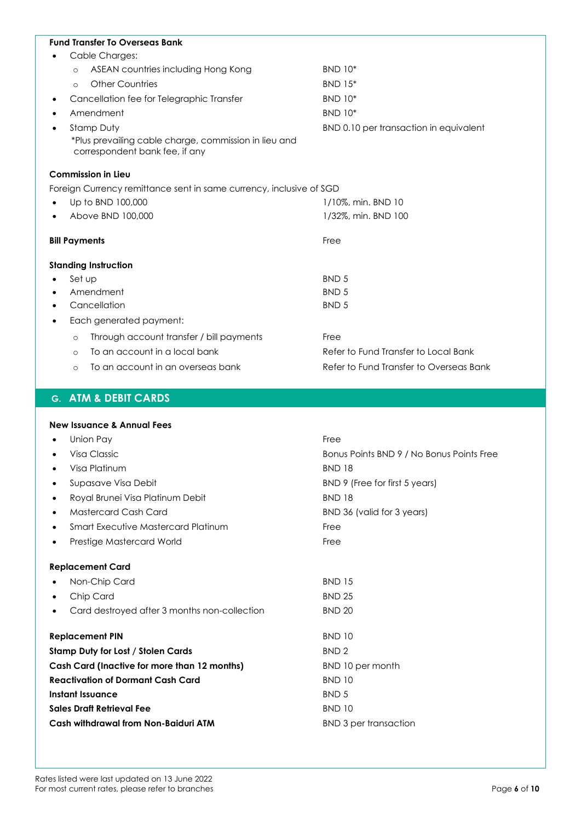| <b>Fund Transfer To Overseas Bank</b>                                                   |                                         |  |  |  |
|-----------------------------------------------------------------------------------------|-----------------------------------------|--|--|--|
| Cable Charges:                                                                          |                                         |  |  |  |
| ASEAN countries including Hong Kong<br>$\circ$                                          | <b>BND 10*</b>                          |  |  |  |
| <b>Other Countries</b><br>$\Omega$                                                      | <b>BND 15*</b>                          |  |  |  |
| Cancellation fee for Telegraphic Transfer                                               | <b>BND 10*</b>                          |  |  |  |
| Amendment                                                                               | <b>BND 10*</b>                          |  |  |  |
| Stamp Duty<br>$\bullet$                                                                 | BND 0.10 per transaction in equivalent  |  |  |  |
| *Plus prevailing cable charge, commission in lieu and<br>correspondent bank fee, if any |                                         |  |  |  |
| <b>Commission in Lieu</b>                                                               |                                         |  |  |  |
| Foreign Currency remittance sent in same currency, inclusive of SGD                     |                                         |  |  |  |
| Up to BND 100,000                                                                       | 1/10%, min. BND 10                      |  |  |  |
| Above BND 100,000                                                                       | 1/32%, min. BND 100                     |  |  |  |
| <b>Bill Payments</b>                                                                    | Free                                    |  |  |  |
| <b>Standing Instruction</b>                                                             |                                         |  |  |  |
| Set up                                                                                  | BND <sub>5</sub>                        |  |  |  |
| Amendment                                                                               | <b>BND 5</b>                            |  |  |  |
| Cancellation                                                                            | BND <sub>5</sub>                        |  |  |  |
| Each generated payment:<br>٠                                                            |                                         |  |  |  |
| Through account transfer / bill payments<br>$\circ$                                     | Free                                    |  |  |  |
| To an account in a local bank<br>$\circ$                                                | Refer to Fund Transfer to Local Bank    |  |  |  |
| To an account in an overseas bank<br>$\circ$                                            | Refer to Fund Transfer to Overseas Bank |  |  |  |

## **G. ATM & DEBIT CARDS**

|                                          | <b>New Issuance &amp; Annual Fees</b>        |                                           |  |
|------------------------------------------|----------------------------------------------|-------------------------------------------|--|
| Union Pay<br>٠                           |                                              | Free                                      |  |
| ٠                                        | Visa Classic                                 | Bonus Points BND 9 / No Bonus Points Free |  |
|                                          | Visa Platinum                                | <b>BND 18</b>                             |  |
| ٠                                        | Supasave Visa Debit                          | BND 9 (Free for first 5 years)            |  |
| ٠                                        | Royal Brunei Visa Platinum Debit             | <b>BND 18</b>                             |  |
| ٠                                        | Mastercard Cash Card                         | BND 36 (valid for 3 years)                |  |
| ٠                                        | Smart Executive Mastercard Platinum          | Free                                      |  |
| ٠                                        | Prestige Mastercard World                    | Free                                      |  |
|                                          | <b>Replacement Card</b>                      |                                           |  |
|                                          | Non-Chip Card                                | <b>BND 15</b>                             |  |
| ٠                                        | Chip Card                                    | <b>BND 25</b>                             |  |
| ٠                                        | Card destroyed after 3 months non-collection | <b>BND 20</b>                             |  |
|                                          | <b>Replacement PIN</b>                       | <b>BND 10</b>                             |  |
|                                          | <b>Stamp Duty for Lost / Stolen Cards</b>    | BND <sub>2</sub>                          |  |
|                                          | Cash Card (Inactive for more than 12 months) | BND 10 per month                          |  |
| <b>Reactivation of Dormant Cash Card</b> |                                              | <b>BND 10</b>                             |  |
|                                          | Instant Issuance                             | BND <sub>5</sub>                          |  |
|                                          | <b>Sales Draft Retrieval Fee</b>             | <b>BND 10</b>                             |  |
|                                          | Cash withdrawal from Non-Baiduri ATM         | <b>BND 3 per transaction</b>              |  |
|                                          |                                              |                                           |  |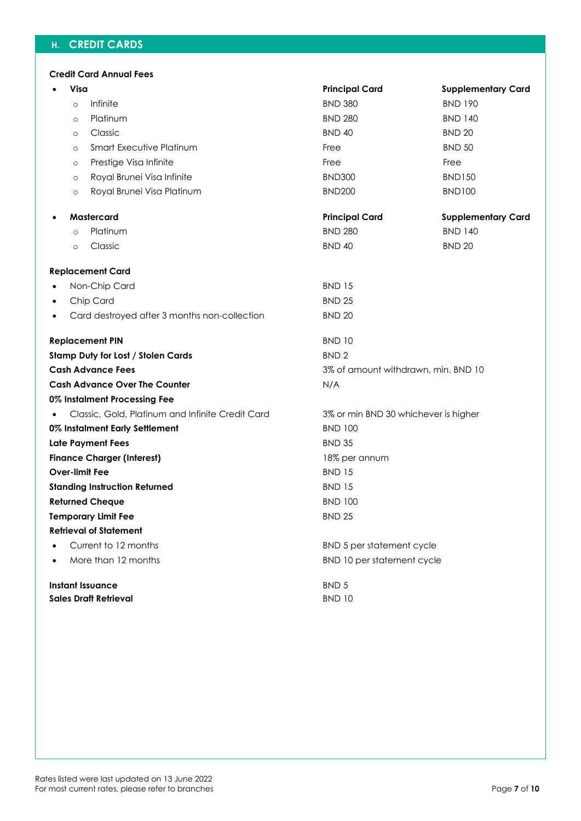# **H. CREDIT CARDS**

|  | <b>Credit Card Annual Fees</b> |  |
|--|--------------------------------|--|
|  |                                |  |

|           | Visa    |                                                  | <b>Principal Card</b>                | <b>Supplementary Card</b> |  |
|-----------|---------|--------------------------------------------------|--------------------------------------|---------------------------|--|
|           | $\circ$ | Infinite                                         | <b>BND 380</b>                       | <b>BND 190</b>            |  |
|           | $\circ$ | Platinum                                         | <b>BND 280</b>                       | <b>BND 140</b>            |  |
|           | $\circ$ | Classic                                          | <b>BND 40</b>                        | <b>BND 20</b>             |  |
|           | $\circ$ | <b>Smart Executive Platinum</b>                  | Free                                 | <b>BND 50</b>             |  |
|           | $\circ$ | Prestige Visa Infinite                           | Free                                 | Free                      |  |
|           | $\circ$ | Royal Brunei Visa Infinite                       | <b>BND300</b>                        | <b>BND150</b>             |  |
|           | $\circ$ | Royal Brunei Visa Platinum                       | <b>BND200</b>                        | <b>BND100</b>             |  |
| $\bullet$ |         | Mastercard                                       | <b>Principal Card</b>                | <b>Supplementary Card</b> |  |
|           | $\circ$ | Platinum                                         | <b>BND 280</b>                       | <b>BND 140</b>            |  |
|           | $\circ$ | Classic                                          | <b>BND 40</b>                        | <b>BND 20</b>             |  |
|           |         | <b>Replacement Card</b>                          |                                      |                           |  |
| $\bullet$ |         | Non-Chip Card                                    | <b>BND 15</b>                        |                           |  |
| $\bullet$ |         | Chip Card                                        | <b>BND 25</b>                        |                           |  |
| $\bullet$ |         | Card destroyed after 3 months non-collection     | <b>BND 20</b>                        |                           |  |
|           |         | <b>Replacement PIN</b>                           | <b>BND 10</b>                        |                           |  |
|           |         | <b>Stamp Duty for Lost / Stolen Cards</b>        | BND <sub>2</sub>                     |                           |  |
|           |         | <b>Cash Advance Fees</b>                         | 3% of amount withdrawn, min. BND 10  |                           |  |
|           |         | <b>Cash Advance Over The Counter</b>             | N/A                                  |                           |  |
|           |         | 0% Instalment Processing Fee                     |                                      |                           |  |
|           |         | Classic, Gold, Platinum and Infinite Credit Card | 3% or min BND 30 whichever is higher |                           |  |
|           |         | 0% Instalment Early Settlement                   | <b>BND 100</b>                       |                           |  |
|           |         | Late Payment Fees                                | <b>BND 35</b>                        |                           |  |
|           |         | <b>Finance Charger (Interest)</b>                | 18% per annum                        |                           |  |
|           |         | <b>Over-limit Fee</b>                            | <b>BND 15</b>                        |                           |  |
|           |         | <b>Standing Instruction Returned</b>             | <b>BND 15</b>                        |                           |  |
|           |         | <b>Returned Cheque</b>                           | <b>BND 100</b>                       |                           |  |
|           |         | <b>Temporary Limit Fee</b>                       | <b>BND 25</b>                        |                           |  |
|           |         | <b>Retrieval of Statement</b>                    |                                      |                           |  |
|           |         | Current to 12 months                             | BND 5 per statement cycle            |                           |  |
|           |         | More than 12 months                              | BND 10 per statement cycle           |                           |  |
|           |         | <b>Instant Issuance</b>                          | BND 5                                |                           |  |
|           |         | <b>Sales Draft Retrieval</b>                     | <b>BND 10</b>                        |                           |  |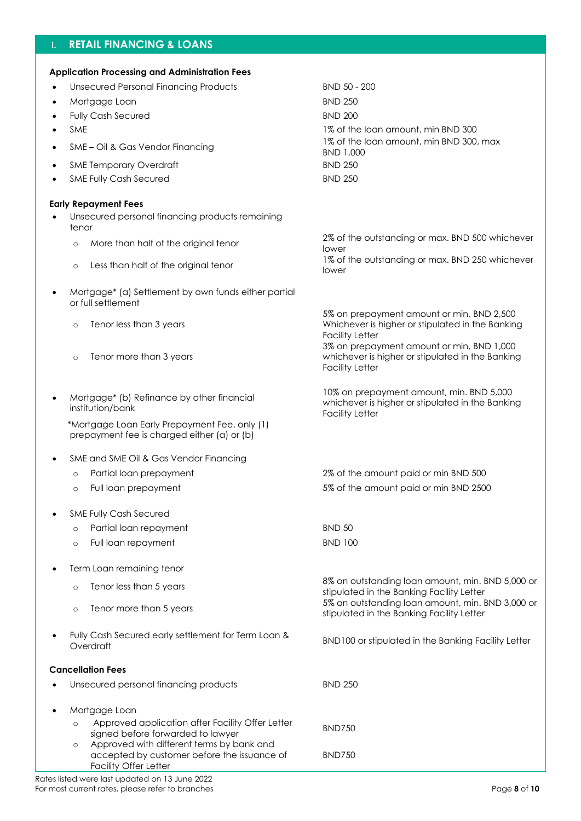# **I. RETAIL FINANCING & LOANS**

| <b>Application Processing and Administration Fees</b>                                                                        |                                                                                                                         |
|------------------------------------------------------------------------------------------------------------------------------|-------------------------------------------------------------------------------------------------------------------------|
| <b>Unsecured Personal Financing Products</b>                                                                                 | BND 50 - 200                                                                                                            |
| Mortgage Loan<br>$\bullet$                                                                                                   | <b>BND 250</b>                                                                                                          |
| <b>Fully Cash Secured</b>                                                                                                    | <b>BND 200</b>                                                                                                          |
| <b>SME</b>                                                                                                                   | 1% of the loan amount, min BND 300                                                                                      |
| SME - Oil & Gas Vendor Financing<br>$\bullet$                                                                                | 1% of the loan amount, min BND 300, max<br>BND 1,000                                                                    |
| <b>SME Temporary Overdraft</b>                                                                                               | <b>BND 250</b>                                                                                                          |
| <b>SME Fully Cash Secured</b><br>$\bullet$                                                                                   | <b>BND 250</b>                                                                                                          |
|                                                                                                                              |                                                                                                                         |
| <b>Early Repayment Fees</b><br>Unsecured personal financing products remaining<br>tenor                                      |                                                                                                                         |
| More than half of the original tenor<br>$\circ$                                                                              | 2% of the outstanding or max. BND 500 whichever                                                                         |
| Less than half of the original tenor<br>$\circ$                                                                              | lower<br>1% of the outstanding or max. BND 250 whichever<br>lower                                                       |
|                                                                                                                              |                                                                                                                         |
| Mortgage* (a) Settlement by own funds either partial<br>or full settlement                                                   |                                                                                                                         |
| Tenor less than 3 years<br>$\circ$                                                                                           | 5% on prepayment amount or min, BND 2,500<br>Whichever is higher or stipulated in the Banking<br><b>Facility Letter</b> |
| Tenor more than 3 years<br>$\circ$                                                                                           | 3% on prepayment amount or min, BND 1,000<br>whichever is higher or stipulated in the Banking<br><b>Facility Letter</b> |
| Mortgage* (b) Refinance by other financial<br>$\bullet$<br>institution/bank                                                  | 10% on prepayment amount, min. BND 5,000<br>whichever is higher or stipulated in the Banking<br><b>Facility Letter</b>  |
| *Mortgage Loan Early Prepayment Fee, only (1)<br>prepayment fee is charged either (a) or (b)                                 |                                                                                                                         |
| SME and SME Oil & Gas Vendor Financing                                                                                       |                                                                                                                         |
| Partial loan prepayment<br>$\circ$                                                                                           | 2% of the amount paid or min BND 500                                                                                    |
| Full loan prepayment<br>$\circ$                                                                                              | 5% of the amount paid or min BND 2500                                                                                   |
|                                                                                                                              |                                                                                                                         |
| <b>SME Fully Cash Secured</b>                                                                                                |                                                                                                                         |
| Partial loan repayment<br>$\circ$                                                                                            | <b>BND 50</b>                                                                                                           |
| Full loan repayment<br>$\circ$                                                                                               | <b>BND 100</b>                                                                                                          |
|                                                                                                                              |                                                                                                                         |
| Term Loan remaining tenor                                                                                                    | 8% on outstanding loan amount, min. BND 5,000 or                                                                        |
| Tenor less than 5 years<br>$\circ$                                                                                           | stipulated in the Banking Facility Letter<br>5% on outstanding loan amount, min. BND 3,000 or                           |
| Tenor more than 5 years<br>$\circ$                                                                                           | stipulated in the Banking Facility Letter                                                                               |
| Fully Cash Secured early settlement for Term Loan &<br>Overdraft                                                             | BND100 or stipulated in the Banking Facility Letter                                                                     |
| <b>Cancellation Fees</b>                                                                                                     |                                                                                                                         |
| Unsecured personal financing products                                                                                        | <b>BND 250</b>                                                                                                          |
|                                                                                                                              |                                                                                                                         |
| Mortgage Loan<br>Approved application after Facility Offer Letter<br>$\circ$                                                 |                                                                                                                         |
| signed before forwarded to lawyer                                                                                            | <b>BND750</b>                                                                                                           |
| Approved with different terms by bank and<br>$\circ$<br>accepted by customer before the issuance of<br>Facility Offer Letter | <b>BND750</b>                                                                                                           |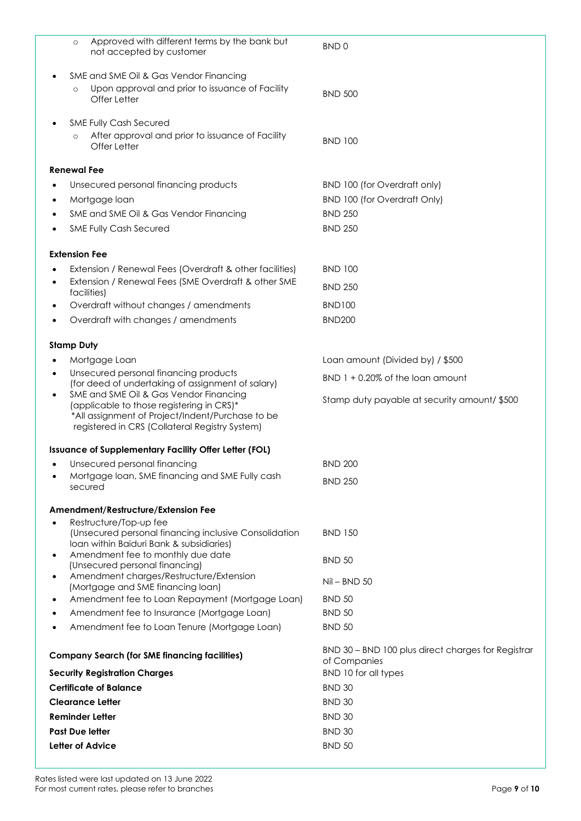|           | Approved with different terms by the bank but<br>$\circ$<br>not accepted by customer                                                                                                      | BND <sub>0</sub>                                                   |
|-----------|-------------------------------------------------------------------------------------------------------------------------------------------------------------------------------------------|--------------------------------------------------------------------|
|           | SME and SME Oil & Gas Vendor Financing                                                                                                                                                    |                                                                    |
|           | Upon approval and prior to issuance of Facility<br>$\circ$<br>Offer Letter                                                                                                                | <b>BND 500</b>                                                     |
|           | <b>SME Fully Cash Secured</b>                                                                                                                                                             |                                                                    |
|           | After approval and prior to issuance of Facility<br>$\circ$<br>Offer Letter                                                                                                               | <b>BND 100</b>                                                     |
|           | <b>Renewal Fee</b>                                                                                                                                                                        |                                                                    |
|           | Unsecured personal financing products                                                                                                                                                     | BND 100 (for Overdraft only)                                       |
| ٠         | Mortgage loan                                                                                                                                                                             | <b>BND 100 (for Overdraft Only)</b>                                |
|           | SME and SME Oil & Gas Vendor Financing                                                                                                                                                    | <b>BND 250</b>                                                     |
|           | <b>SME Fully Cash Secured</b>                                                                                                                                                             | <b>BND 250</b>                                                     |
|           | <b>Extension Fee</b>                                                                                                                                                                      |                                                                    |
|           | Extension / Renewal Fees (Overdraft & other facilities)                                                                                                                                   | <b>BND 100</b>                                                     |
| $\bullet$ | Extension / Renewal Fees (SME Overdraft & other SME                                                                                                                                       | <b>BND 250</b>                                                     |
|           | facilities)                                                                                                                                                                               |                                                                    |
| ٠         | Overdraft without changes / amendments                                                                                                                                                    | <b>BND100</b>                                                      |
|           | Overdraft with changes / amendments                                                                                                                                                       | <b>BND200</b>                                                      |
|           | <b>Stamp Duty</b>                                                                                                                                                                         |                                                                    |
|           | Mortgage Loan                                                                                                                                                                             | Loan amount (Divided by) / \$500                                   |
| $\bullet$ | Unsecured personal financing products<br>(for deed of undertaking of assignment of salary)                                                                                                | $BND$ 1 + 0.20% of the loan amount                                 |
| $\bullet$ | SME and SME Oil & Gas Vendor Financing<br>(applicable to those registering in CRS)*<br>*All assignment of Project/Indent/Purchase to be<br>registered in CRS (Collateral Registry System) | Stamp duty payable at security amount/\$500                        |
|           | Issuance of Supplementary Facility Offer Letter (FOL)                                                                                                                                     |                                                                    |
|           | Unsecured personal financing                                                                                                                                                              | <b>BND 200</b>                                                     |
|           | Mortgage loan, SME financing and SME Fully cash<br>secured                                                                                                                                | <b>BND 250</b>                                                     |
|           | Amendment/Restructure/Extension Fee                                                                                                                                                       |                                                                    |
|           | Restructure/Top-up fee<br>(Unsecured personal financing inclusive Consolidation                                                                                                           | <b>BND 150</b>                                                     |
|           | Ioan within Baiduri Bank & subsidiaries)                                                                                                                                                  |                                                                    |
| ٠         | Amendment fee to monthly due date<br>(Unsecured personal financing)                                                                                                                       | <b>BND 50</b>                                                      |
| $\bullet$ | Amendment charges/Restructure/Extension                                                                                                                                                   | $Nil - BND 50$                                                     |
|           | (Mortgage and SME financing loan)<br>Amendment fee to Loan Repayment (Mortgage Loan)                                                                                                      | <b>BND 50</b>                                                      |
| ٠         | Amendment fee to Insurance (Mortgage Loan)                                                                                                                                                | <b>BND 50</b>                                                      |
| ٠         | Amendment fee to Loan Tenure (Mortgage Loan)                                                                                                                                              | <b>BND 50</b>                                                      |
|           |                                                                                                                                                                                           |                                                                    |
|           | <b>Company Search (for SME financing facilities)</b>                                                                                                                                      | BND 30 - BND 100 plus direct charges for Registrar<br>of Companies |
|           | <b>Security Registration Charges</b>                                                                                                                                                      | BND 10 for all types                                               |
|           | <b>Certificate of Balance</b>                                                                                                                                                             | <b>BND 30</b>                                                      |
|           | <b>Clearance Letter</b>                                                                                                                                                                   | <b>BND 30</b>                                                      |
|           | <b>Reminder Letter</b>                                                                                                                                                                    | <b>BND 30</b>                                                      |
|           | <b>Past Due letter</b>                                                                                                                                                                    | <b>BND 30</b>                                                      |
|           | Letter of Advice                                                                                                                                                                          | <b>BND 50</b>                                                      |